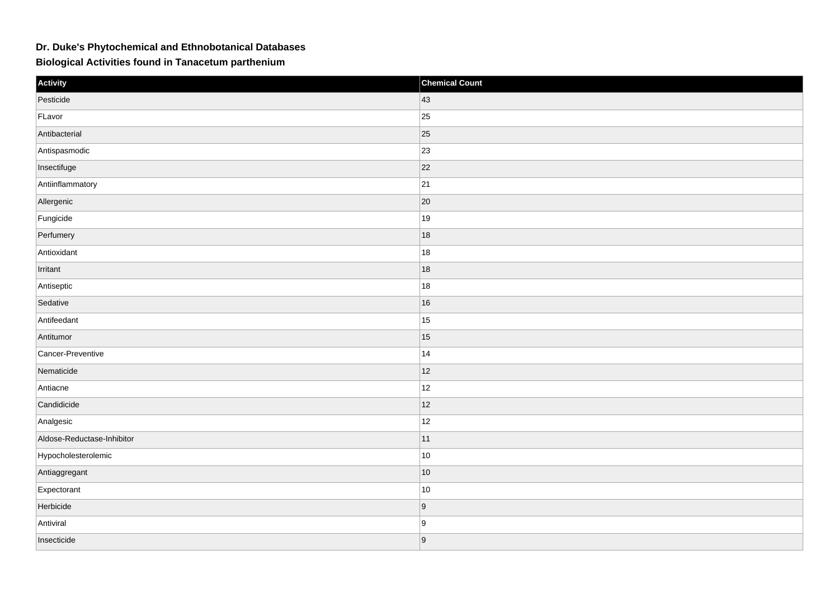## **Dr. Duke's Phytochemical and Ethnobotanical Databases**

**Biological Activities found in Tanacetum parthenium**

| Activity                   | <b>Chemical Count</b> |
|----------------------------|-----------------------|
| Pesticide                  | $ 43\rangle$          |
| FLavor                     | $ 25\rangle$          |
| Antibacterial              | $ 25\rangle$          |
| Antispasmodic              | 23                    |
| Insectifuge                | 22                    |
| Antiinflammatory           | 21                    |
| Allergenic                 | $ 20\rangle$          |
| Fungicide                  | 19                    |
| Perfumery                  | 18                    |
| Antioxidant                | 18                    |
| Irritant                   | 18                    |
| Antiseptic                 | 18                    |
| Sedative                   | 16                    |
| Antifeedant                | 15                    |
| Antitumor                  | 15                    |
| Cancer-Preventive          | 14                    |
| Nematicide                 | 12                    |
| Antiacne                   | 12                    |
| Candidicide                | 12                    |
| Analgesic                  | 12                    |
| Aldose-Reductase-Inhibitor | 11                    |
| Hypocholesterolemic        | $ 10\rangle$          |
| Antiaggregant              | 10                    |
| Expectorant                | 10                    |
| Herbicide                  | 9                     |
| Antiviral                  | 9                     |
| Insecticide                | 9                     |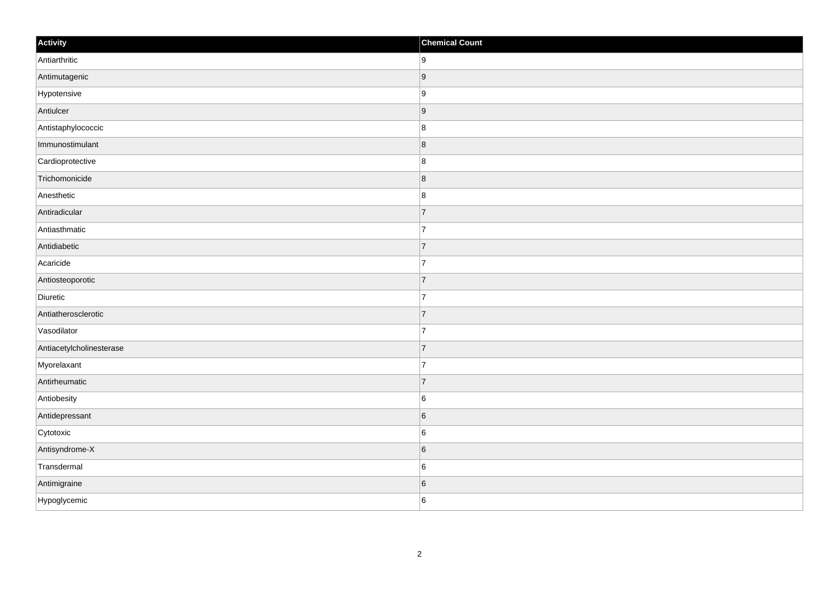| Activity                 | <b>Chemical Count</b> |
|--------------------------|-----------------------|
| Antiarthritic            | 9                     |
| Antimutagenic            | 9                     |
| Hypotensive              | 9                     |
| Antiulcer                | 9                     |
| Antistaphylococcic       | $\boldsymbol{8}$      |
| Immunostimulant          | 8                     |
| Cardioprotective         | 8                     |
| Trichomonicide           | $\bf 8$               |
| Anesthetic               | $\bf 8$               |
| Antiradicular            | $\overline{7}$        |
| Antiasthmatic            | $\overline{7}$        |
| Antidiabetic             | 7                     |
| Acaricide                | $\overline{7}$        |
| Antiosteoporotic         | 7                     |
| Diuretic                 | 7                     |
| Antiatherosclerotic      | 7                     |
| Vasodilator              | $\overline{7}$        |
| Antiacetylcholinesterase | 7                     |
| Myorelaxant              | $\overline{7}$        |
| Antirheumatic            | 7                     |
| Antiobesity              | 6                     |
| Antidepressant           | 6                     |
| Cytotoxic                | 6                     |
| Antisyndrome-X           | $\sqrt{6}$            |
| Transdermal              | $\,6$                 |
| Antimigraine             | $\,$ 6 $\,$           |
| Hypoglycemic             | 6                     |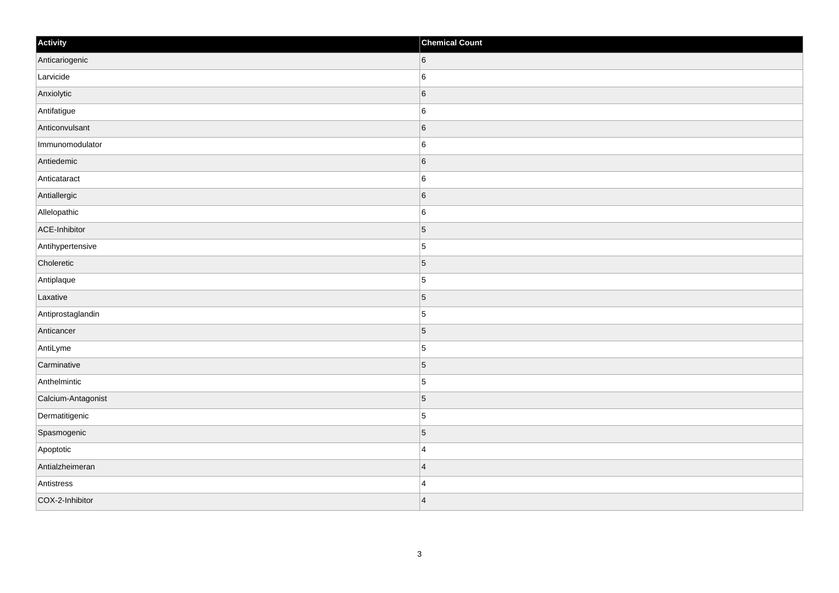| Activity           | <b>Chemical Count</b> |
|--------------------|-----------------------|
| Anticariogenic     | 6                     |
| Larvicide          | $\sf 6$               |
| Anxiolytic         | 6                     |
| Antifatigue        | $\,6$                 |
| Anticonvulsant     | $\sqrt{6}$            |
| Immunomodulator    | 6                     |
| Antiedemic         | 6                     |
| Anticataract       | $\,6$                 |
| Antiallergic       | 6                     |
| Allelopathic       | $\sf 6$               |
| ACE-Inhibitor      | $\overline{5}$        |
| Antihypertensive   | $\vert$ 5             |
| Choleretic         | $\vert$ 5             |
| Antiplaque         | $\overline{5}$        |
| Laxative           | $\vert$ 5             |
| Antiprostaglandin  | $\overline{5}$        |
| Anticancer         | $\vert$ 5             |
| AntiLyme           | $\vert$ 5             |
| Carminative        | $\vert$ 5             |
| Anthelmintic       | $\overline{5}$        |
| Calcium-Antagonist | $\vert 5 \vert$       |
| Dermatitigenic     | $\overline{5}$        |
| Spasmogenic        | $\overline{5}$        |
| Apoptotic          | $\overline{4}$        |
| Antialzheimeran    | $\overline{4}$        |
| Antistress         | $\overline{4}$        |
| COX-2-Inhibitor    | $\overline{4}$        |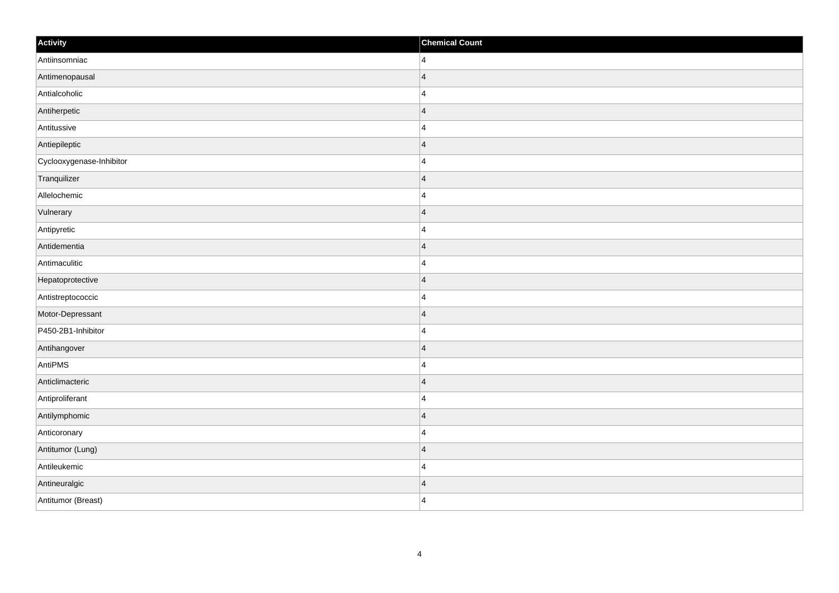| Activity                 | <b>Chemical Count</b>   |
|--------------------------|-------------------------|
| Antiinsomniac            | $\overline{4}$          |
| Antimenopausal           | $\overline{4}$          |
| Antialcoholic            | $\overline{4}$          |
| Antiherpetic             | $\overline{4}$          |
| Antitussive              | $\overline{4}$          |
| Antiepileptic            | $\overline{4}$          |
| Cyclooxygenase-Inhibitor | $\overline{4}$          |
| Tranquilizer             | $\overline{4}$          |
| Allelochemic             | 4                       |
| Vulnerary                | $\overline{\mathbf{4}}$ |
| Antipyretic              | $\overline{4}$          |
| Antidementia             | $\overline{4}$          |
| Antimaculitic            | $\overline{4}$          |
| Hepatoprotective         | $\overline{4}$          |
| Antistreptococcic        | $\overline{4}$          |
| Motor-Depressant         | $\overline{\mathbf{4}}$ |
| P450-2B1-Inhibitor       | 4                       |
| Antihangover             | $\overline{4}$          |
| AntiPMS                  | $\overline{4}$          |
| Anticlimacteric          | $\overline{4}$          |
| Antiproliferant          | $\overline{4}$          |
| Antilymphomic            | $\overline{4}$          |
| Anticoronary             | $\overline{4}$          |
| Antitumor (Lung)         | $\overline{4}$          |
| Antileukemic             | $\overline{4}$          |
| Antineuralgic            | $\overline{4}$          |
| Antitumor (Breast)       | $\overline{4}$          |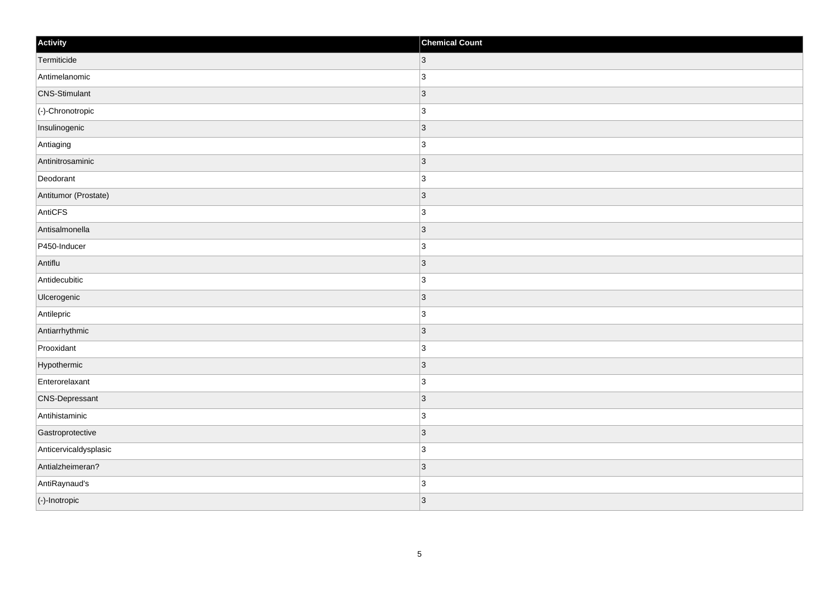| Activity              | <b>Chemical Count</b> |
|-----------------------|-----------------------|
| Termiticide           | $ 3\rangle$           |
| Antimelanomic         | 3                     |
| <b>CNS-Stimulant</b>  | 3                     |
| (-)-Chronotropic      | $\overline{3}$        |
| Insulinogenic         | $\overline{3}$        |
| Antiaging             | 3                     |
| Antinitrosaminic      | $ 3\rangle$           |
| Deodorant             | 3                     |
| Antitumor (Prostate)  | 3                     |
| AntiCFS               | 3                     |
| Antisalmonella        | 3                     |
| P450-Inducer          | 3                     |
| Antiflu               | 3                     |
| Antidecubitic         | 3                     |
| Ulcerogenic           | 3                     |
| Antilepric            | 3                     |
| Antiarrhythmic        | 3                     |
| Prooxidant            | 3                     |
| Hypothermic           | $ 3\rangle$           |
| Enterorelaxant        | $\overline{3}$        |
| <b>CNS-Depressant</b> | 3                     |
| Antihistaminic        | 3                     |
| Gastroprotective      | 3                     |
| Anticervicaldysplasic | 3                     |
| Antialzheimeran?      | $ 3\rangle$           |
| AntiRaynaud's         | $\overline{3}$        |
| (-)-Inotropic         | 3                     |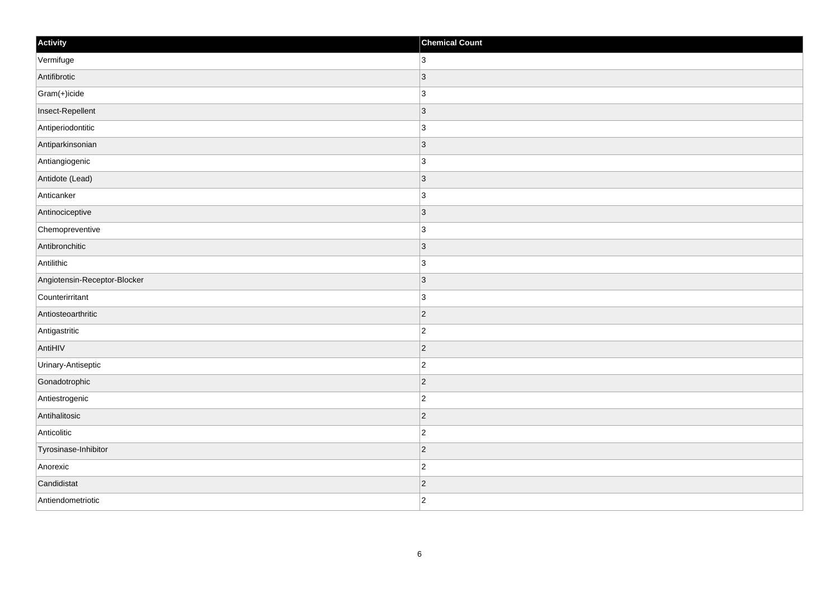| Activity                     | <b>Chemical Count</b> |
|------------------------------|-----------------------|
| Vermifuge                    | $ 3\rangle$           |
| Antifibrotic                 | $\vert 3 \vert$       |
| Gram(+)icide                 | $\vert$ 3             |
| Insect-Repellent             | $ 3\rangle$           |
| Antiperiodontitic            | 3                     |
| Antiparkinsonian             | $ 3\rangle$           |
| Antiangiogenic               | 3                     |
| Antidote (Lead)              | 3                     |
| Anticanker                   | $\vert$ 3             |
| Antinociceptive              | $ 3\rangle$           |
| Chemopreventive              | $\vert$ 3             |
| Antibronchitic               | $ 3\rangle$           |
| Antilithic                   | $\vert$ 3             |
| Angiotensin-Receptor-Blocker | $\vert 3 \vert$       |
| Counterirritant              | $\vert$ 3             |
| Antiosteoarthritic           | $ 2\rangle$           |
| Antigastritic                | $\overline{2}$        |
| AntiHIV                      | $ 2\rangle$           |
| Urinary-Antiseptic           | $\vert$ 2             |
| Gonadotrophic                | $ 2\rangle$           |
| Antiestrogenic               | $ 2\rangle$           |
| Antihalitosic                | $ 2\rangle$           |
| Anticolitic                  | $ 2\rangle$           |
| Tyrosinase-Inhibitor         | $\vert$ 2             |
| Anorexic                     | $ 2\rangle$           |
| Candidistat                  | $\vert$ 2             |
| Antiendometriotic            | $ 2\rangle$           |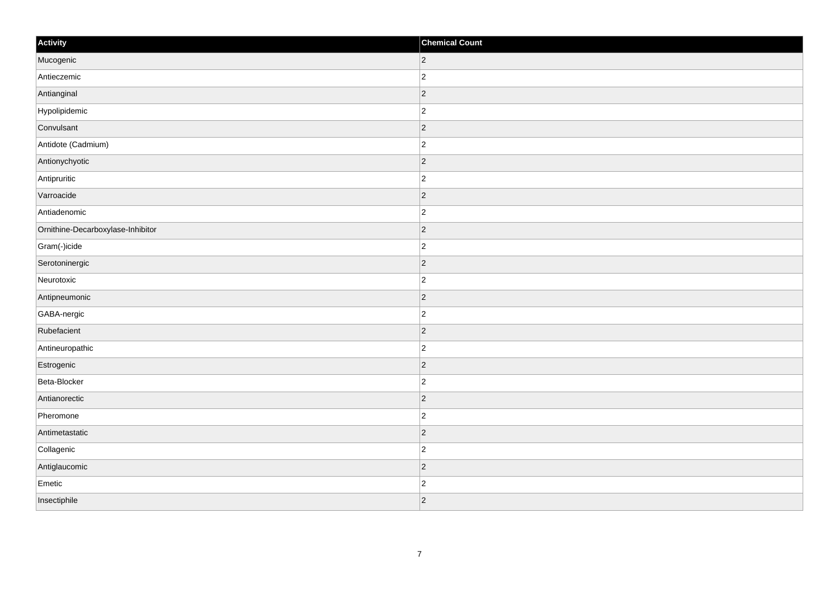| Activity                          | <b>Chemical Count</b> |
|-----------------------------------|-----------------------|
| Mucogenic                         | $ 2\rangle$           |
| Antieczemic                       | $\overline{c}$        |
| Antianginal                       | $ 2\rangle$           |
| Hypolipidemic                     | $\overline{c}$        |
| Convulsant                        | $\overline{c}$        |
| Antidote (Cadmium)                | $\overline{c}$        |
| Antionychyotic                    | $ 2\rangle$           |
| Antipruritic                      | $\overline{2}$        |
| Varroacide                        | $ 2\rangle$           |
| Antiadenomic                      | $\overline{2}$        |
| Ornithine-Decarboxylase-Inhibitor | $\overline{2}$        |
| Gram(-)icide                      | $\overline{c}$        |
| Serotoninergic                    | $ 2\rangle$           |
| Neurotoxic                        | $\overline{c}$        |
| Antipneumonic                     | $ 2\rangle$           |
| GABA-nergic                       | $ 2\rangle$           |
| Rubefacient                       | $ 2\rangle$           |
| Antineuropathic                   | $\overline{c}$        |
| Estrogenic                        | $ 2\rangle$           |
| Beta-Blocker                      | $\overline{c}$        |
| Antianorectic                     | $ 2\rangle$           |
| Pheromone                         | $ 2\rangle$           |
| Antimetastatic                    | $ 2\rangle$           |
| Collagenic                        | $\overline{c}$        |
| Antiglaucomic                     | $ 2\rangle$           |
| Emetic                            | $\overline{c}$        |
| Insectiphile                      | $ 2\rangle$           |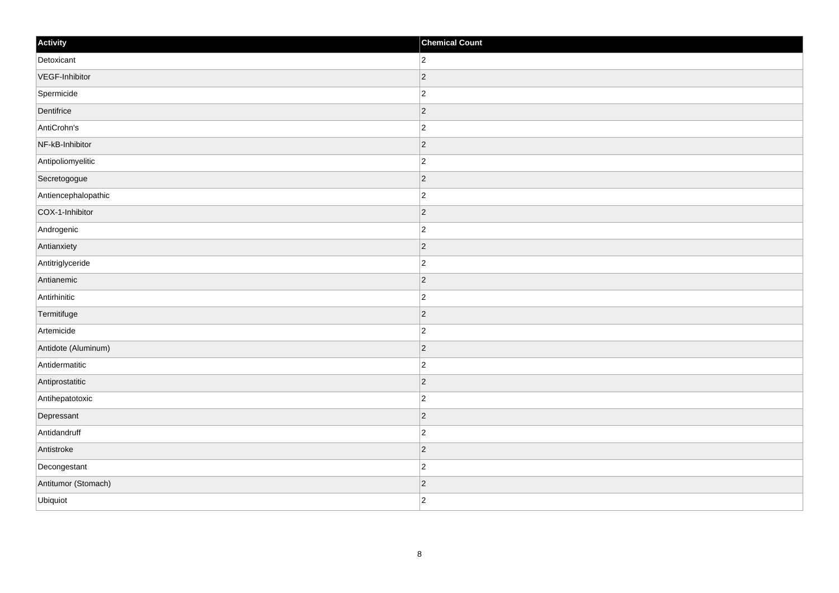| Activity            | <b>Chemical Count</b> |
|---------------------|-----------------------|
| Detoxicant          | $\overline{2}$        |
| VEGF-Inhibitor      | $ 2\rangle$           |
| Spermicide          | $ 2\rangle$           |
| Dentifrice          | $ 2\rangle$           |
| AntiCrohn's         | $\overline{2}$        |
| NF-kB-Inhibitor     | 2                     |
| Antipoliomyelitic   | $\overline{2}$        |
| Secretogogue        | $\overline{2}$        |
| Antiencephalopathic | $ 2\rangle$           |
| COX-1-Inhibitor     | $ 2\rangle$           |
| Androgenic          | $\overline{c}$        |
| Antianxiety         | $ 2\rangle$           |
| Antitriglyceride    | $\overline{c}$        |
| Antianemic          | $ 2\rangle$           |
| Antirhinitic        | $\overline{c}$        |
| Termitifuge         | $ 2\rangle$           |
| Artemicide          | $\overline{c}$        |
| Antidote (Aluminum) | $ 2\rangle$           |
| Antidermatitic      | $ 2\rangle$           |
| Antiprostatitic     | $ 2\rangle$           |
| Antihepatotoxic     | $\overline{c}$        |
| Depressant          | $ 2\rangle$           |
| Antidandruff        | $\overline{c}$        |
| Antistroke          | $ 2\rangle$           |
| Decongestant        | $\overline{2}$        |
| Antitumor (Stomach) | $ 2\rangle$           |
| Ubiquiot            | $ 2\rangle$           |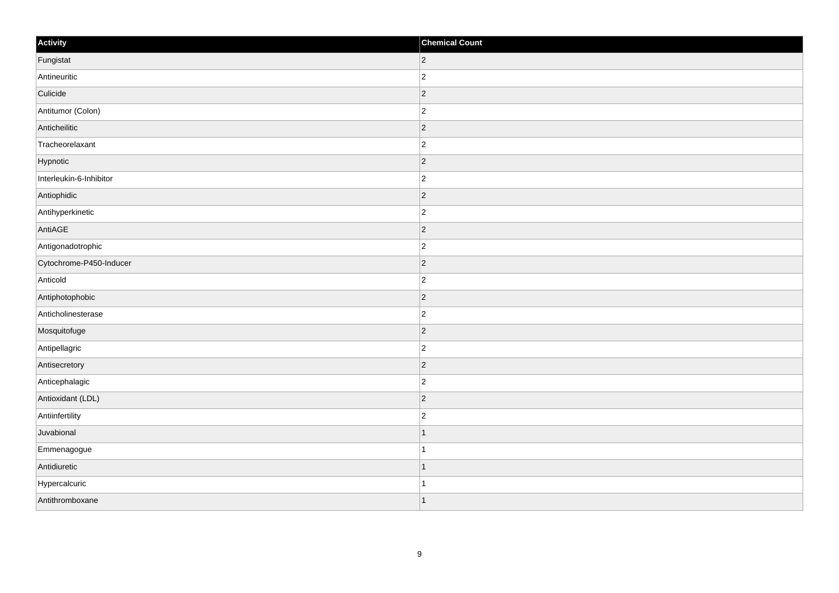| Activity                | <b>Chemical Count</b>    |
|-------------------------|--------------------------|
| Fungistat               | $ 2\rangle$              |
| Antineuritic            | $\overline{c}$           |
| Culicide                | $\vert$ 2                |
| Antitumor (Colon)       | $\overline{c}$           |
| Anticheilitic           | $\overline{2}$           |
| Tracheorelaxant         | $\overline{c}$           |
| Hypnotic                | $\vert$ 2                |
| Interleukin-6-Inhibitor | $\overline{c}$           |
| Antiophidic             | $ 2\rangle$              |
| Antihyperkinetic        | $\overline{2}$           |
| AntiAGE                 | $\overline{2}$           |
| Antigonadotrophic       | $\overline{2}$           |
| Cytochrome-P450-Inducer | $\vert$ 2                |
| Anticold                | $\overline{2}$           |
| Antiphotophobic         | $\vert$ 2                |
| Anticholinesterase      | $\overline{c}$           |
| Mosquitofuge            | $\overline{2}$           |
| Antipellagric           | $\overline{c}$           |
| Antisecretory           | $\vert$ 2                |
| Anticephalagic          | $\overline{2}$           |
| Antioxidant (LDL)       | $\vert$ 2                |
| Antiinfertility         | $\overline{c}$           |
| Juvabional              |                          |
| Emmenagogue             |                          |
| Antidiuretic            | $\overline{\phantom{a}}$ |
| Hypercalcuric           | -1                       |
| Antithromboxane         | 11                       |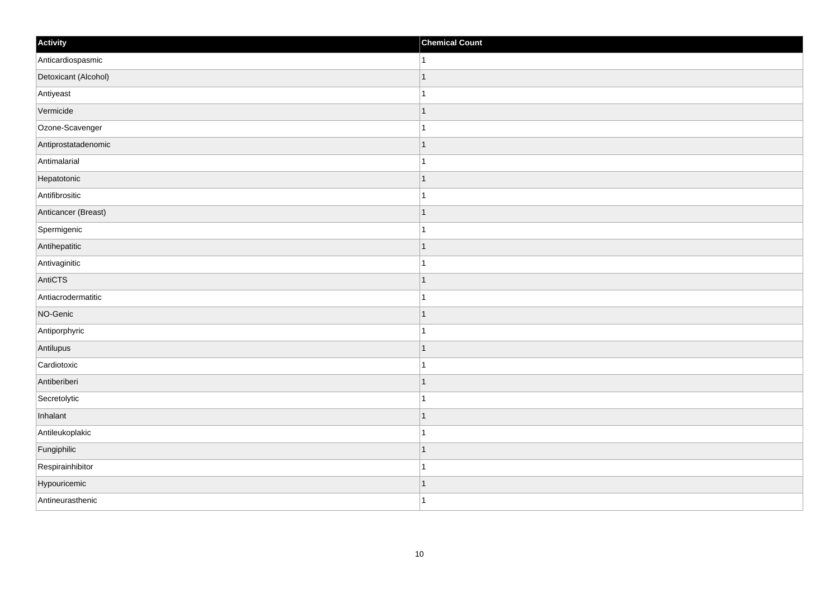| Activity             | <b>Chemical Count</b> |
|----------------------|-----------------------|
| Anticardiospasmic    | $\vert$ 1             |
| Detoxicant (Alcohol) | $\overline{1}$        |
| Antiyeast            |                       |
| Vermicide            | $\mathbf{1}$          |
| Ozone-Scavenger      | $\overline{1}$        |
| Antiprostatadenomic  | $\mathbf 1$           |
| Antimalarial         | 1                     |
| Hepatotonic          | $\mathbf 1$           |
| Antifibrositic       |                       |
| Anticancer (Breast)  | $\mathbf{1}$          |
| Spermigenic          | $\mathbf{1}$          |
| Antihepatitic        | $\mathbf 1$           |
| Antivaginitic        | $\mathbf 1$           |
| AntiCTS              | $\mathbf 1$           |
| Antiacrodermatitic   | 1                     |
| NO-Genic             | $\vert$ 1             |
| Antiporphyric        | $\mathbf 1$           |
| Antilupus            | $\vert$ 1             |
| Cardiotoxic          | 1                     |
| Antiberiberi         | 1                     |
| Secretolytic         | $\overline{1}$        |
| Inhalant             | $\vert$ 1             |
| Antileukoplakic      | $\mathbf 1$           |
| Fungiphilic          | $\mathbf 1$           |
| Respirainhibitor     | $\mathbf{1}$          |
| Hypouricemic         | $\vert$ 1             |
| Antineurasthenic     | $\overline{1}$        |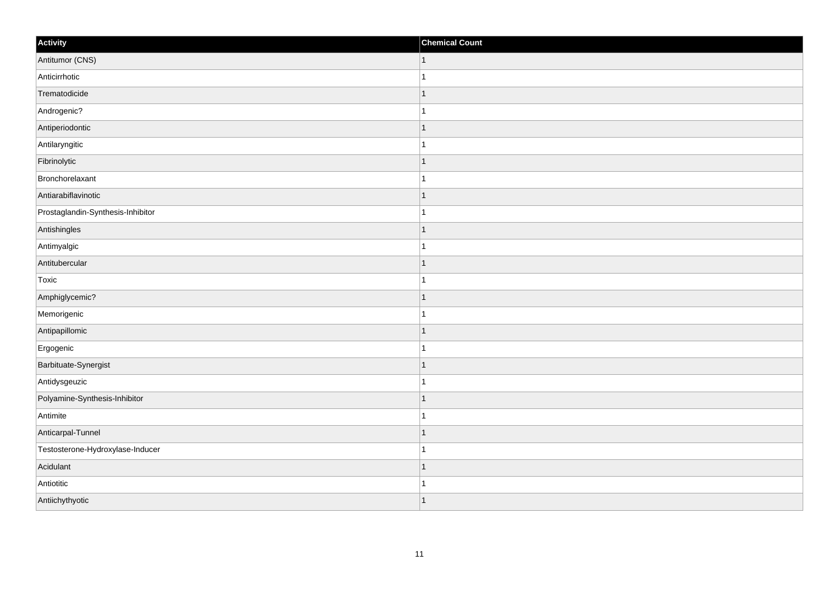| Activity                          | <b>Chemical Count</b> |
|-----------------------------------|-----------------------|
| Antitumor (CNS)                   | $\vert$ 1             |
| Anticirrhotic                     | $\overline{1}$        |
| Trematodicide                     |                       |
| Androgenic?                       |                       |
| Antiperiodontic                   |                       |
| Antilaryngitic                    |                       |
| Fibrinolytic                      | $\mathbf{1}$          |
| Bronchorelaxant                   | $\mathbf{1}$          |
| Antiarabiflavinotic               |                       |
| Prostaglandin-Synthesis-Inhibitor | 1                     |
| Antishingles                      | 1                     |
| Antimyalgic                       |                       |
| Antitubercular                    | $\mathbf{1}$          |
| Toxic                             | $\mathbf{1}$          |
| Amphiglycemic?                    |                       |
| Memorigenic                       | $\mathbf{1}$          |
| Antipapillomic                    |                       |
| Ergogenic                         |                       |
| Barbituate-Synergist              | $\mathbf{1}$          |
| Antidysgeuzic                     | $\mathbf 1$           |
| Polyamine-Synthesis-Inhibitor     | $\mathbf 1$           |
| Antimite                          | $\overline{1}$        |
| Anticarpal-Tunnel                 | $\mathbf 1$           |
| Testosterone-Hydroxylase-Inducer  | $\overline{1}$        |
| Acidulant                         | $\mathbf{1}$          |
| Antiotitic                        |                       |
| Antiichythyotic                   | $\overline{1}$        |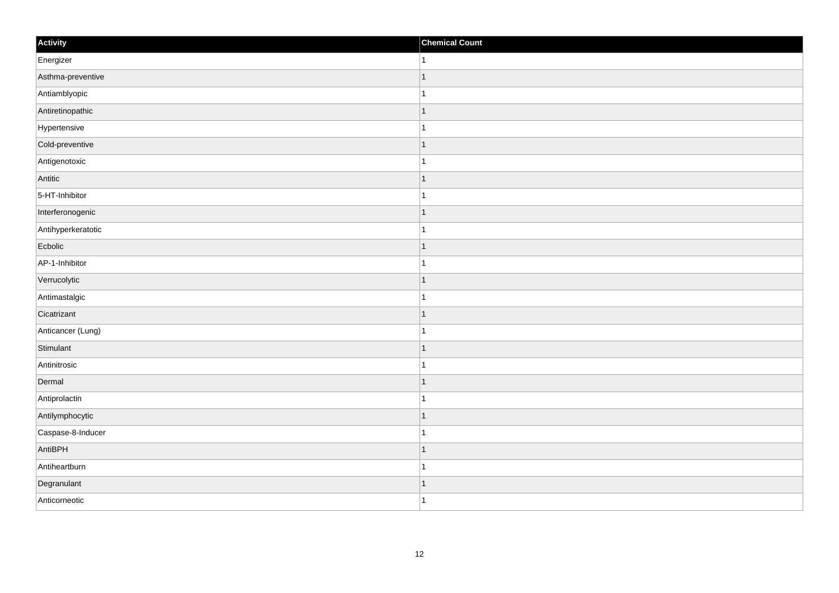| Activity           | <b>Chemical Count</b>    |
|--------------------|--------------------------|
| Energizer          | 1                        |
| Asthma-preventive  |                          |
| Antiamblyopic      |                          |
| Antiretinopathic   | 1                        |
| Hypertensive       | $\mathbf{1}$             |
| Cold-preventive    |                          |
| Antigenotoxic      |                          |
| Antitic            | -1                       |
| 5-HT-Inhibitor     |                          |
| Interferonogenic   | 1                        |
| Antihyperkeratotic | 1                        |
| Ecbolic            |                          |
| AP-1-Inhibitor     |                          |
| Verrucolytic       |                          |
| Antimastalgic      |                          |
| Cicatrizant        | 1                        |
| Anticancer (Lung)  | 1                        |
| Stimulant          |                          |
| Antinitrosic       |                          |
| Dermal             | -1                       |
| Antiprolactin      |                          |
| Antilymphocytic    | $\overline{\phantom{a}}$ |
| Caspase-8-Inducer  | -1                       |
| AntiBPH            | $\overline{\phantom{a}}$ |
| Antiheartburn      | -1                       |
| Degranulant        | -1                       |
| Anticorneotic      | $\overline{1}$           |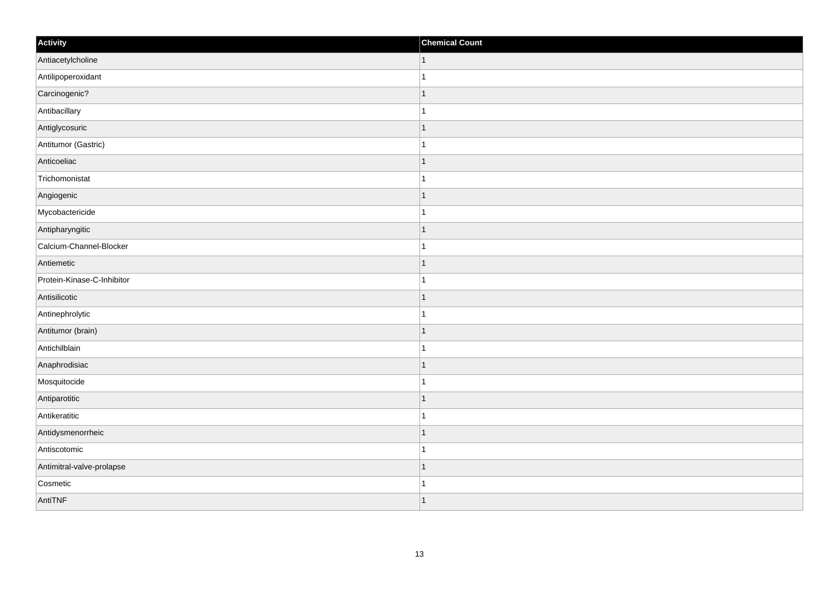| Activity                   | <b>Chemical Count</b> |
|----------------------------|-----------------------|
| Antiacetylcholine          | $\vert$ 1             |
| Antilipoperoxidant         | $\overline{1}$        |
| Carcinogenic?              | $\mathbf 1$           |
| Antibacillary              | 1                     |
| Antiglycosuric             | $\mathbf 1$           |
| Antitumor (Gastric)        |                       |
| Anticoeliac                | $\mathbf 1$           |
| Trichomonistat             | $\mathbf{1}$          |
| Angiogenic                 |                       |
| Mycobactericide            |                       |
| Antipharyngitic            | 1                     |
| Calcium-Channel-Blocker    |                       |
| Antiemetic                 | $\mathbf 1$           |
| Protein-Kinase-C-Inhibitor | $\mathbf{1}$          |
| Antisilicotic              | 1                     |
| Antinephrolytic            | $\mathbf{1}$          |
| Antitumor (brain)          | $\mathbf 1$           |
| Antichilblain              |                       |
| Anaphrodisiac              | $\mathbf{1}$          |
| Mosquitocide               | -1                    |
| Antiparotitic              | $\mathbf 1$           |
| Antikeratitic              | $\mathbf{1}$          |
| Antidysmenorrheic          | -1                    |
| Antiscotomic               | -1                    |
| Antimitral-valve-prolapse  | $\mathbf 1$           |
| Cosmetic                   | 1                     |
| AntiTNF                    | $\overline{1}$        |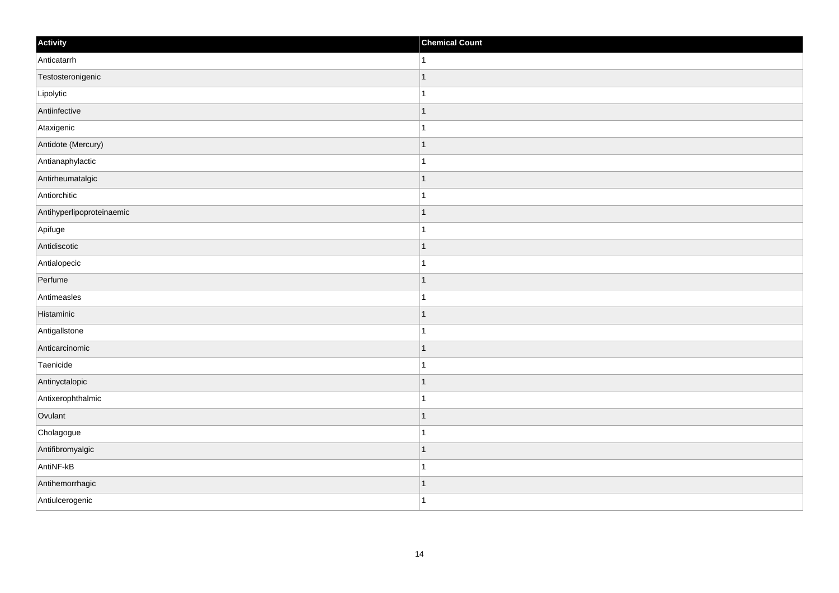| Activity                  | <b>Chemical Count</b>    |
|---------------------------|--------------------------|
| Anticatarrh               | 1                        |
| Testosteronigenic         | $\overline{\phantom{a}}$ |
| Lipolytic                 |                          |
| Antiinfective             | ∣ 1                      |
| Ataxigenic                | $\mathbf{1}$             |
| Antidote (Mercury)        |                          |
| Antianaphylactic          |                          |
| Antirheumatalgic          | -1                       |
| Antiorchitic              |                          |
| Antihyperlipoproteinaemic | 1                        |
| Apifuge                   | 1                        |
| Antidiscotic              | f.                       |
| Antialopecic              |                          |
| Perfume                   |                          |
| Antimeasles               |                          |
| Histaminic                | 1                        |
| AntigalIstone             | -1                       |
| Anticarcinomic            |                          |
| Taenicide                 |                          |
| Antinyctalopic            | 1                        |
| Antixerophthalmic         |                          |
| Ovulant                   | $\overline{\phantom{a}}$ |
| Cholagogue                | -1                       |
| Antifibromyalgic          | $\overline{\phantom{a}}$ |
| AntiNF-kB                 | -1                       |
| Antihemorrhagic           | -1                       |
| Antiulcerogenic           | $\overline{1}$           |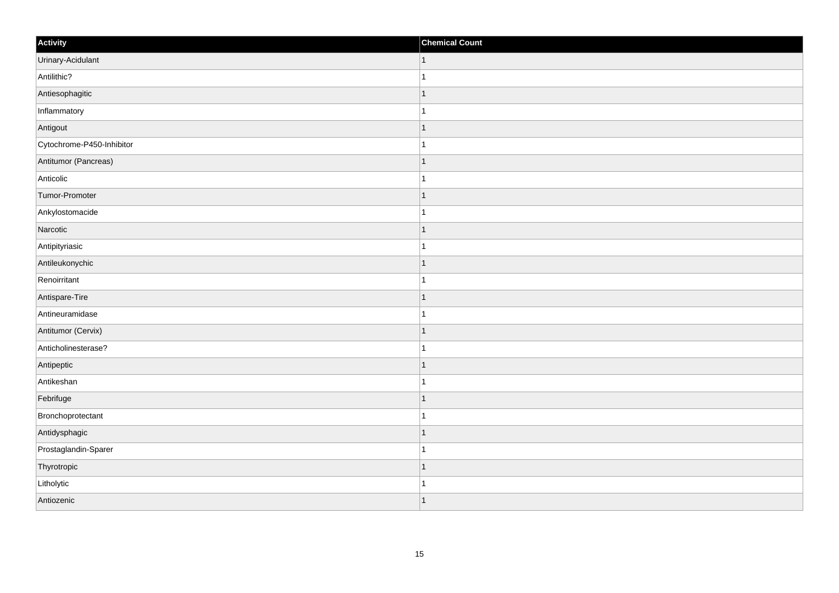| Activity                  | <b>Chemical Count</b>    |
|---------------------------|--------------------------|
| Urinary-Acidulant         | $\vert$ 1                |
| Antilithic?               |                          |
| Antiesophagitic           |                          |
| Inflammatory              |                          |
| Antigout                  |                          |
| Cytochrome-P450-Inhibitor |                          |
| Antitumor (Pancreas)      | $\overline{\phantom{a}}$ |
| Anticolic                 | 1                        |
| Tumor-Promoter            |                          |
| Ankylostomacide           |                          |
| Narcotic                  |                          |
| Antipityriasic            |                          |
| Antileukonychic           | -1                       |
| Renoirritant              | 1                        |
| Antispare-Tire            |                          |
| Antineuramidase           |                          |
| Antitumor (Cervix)        |                          |
| Anticholinesterase?       |                          |
| Antipeptic                | 1                        |
| Antikeshan                | -1                       |
| Febrifuge                 | f.                       |
| Bronchoprotectant         |                          |
| Antidysphagic             |                          |
| Prostaglandin-Sparer      |                          |
| Thyrotropic               |                          |
| Litholytic                |                          |
| Antiozenic                | $\overline{\phantom{a}}$ |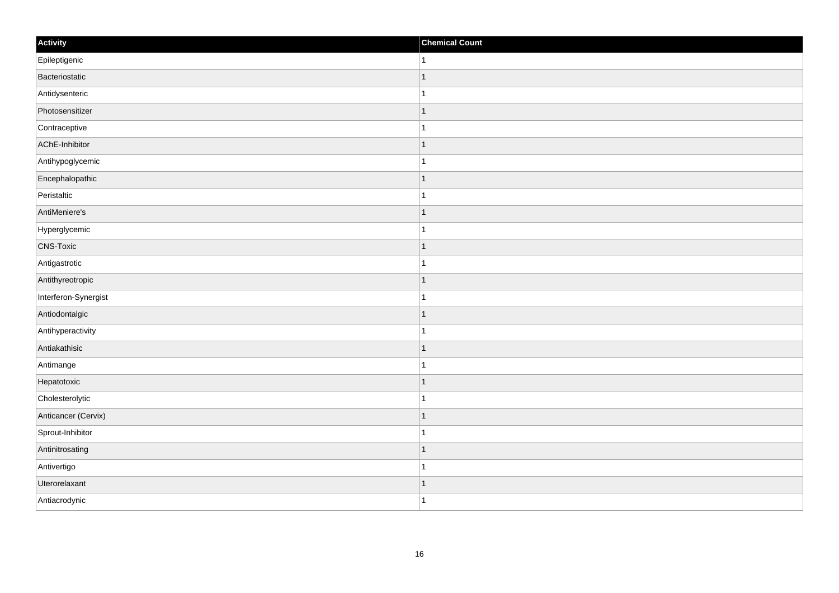| Activity             | <b>Chemical Count</b> |
|----------------------|-----------------------|
| Epileptigenic        | $\vert$ 1             |
| Bacteriostatic       | $\mathbf{1}$          |
| Antidysenteric       | $\mathbf{1}$          |
| Photosensitizer      | $\vert$ 1             |
| Contraceptive        | $\mathbf{1}$          |
| AChE-Inhibitor       | $\mathbf{1}$          |
| Antihypoglycemic     | $\mathbf{1}$          |
| Encephalopathic      | $\mathbf{1}$          |
| Peristaltic          | $\mathbf{1}$          |
| AntiMeniere's        | $\vert$ 1             |
| Hyperglycemic        | $\vert$ 1             |
| <b>CNS-Toxic</b>     | $\mathbf{1}$          |
| Antigastrotic        | $\mathbf{1}$          |
| Antithyreotropic     | $\mathbf{1}$          |
| Interferon-Synergist | $\mathbf{1}$          |
| Antiodontalgic       | $\vert$ 1             |
| Antihyperactivity    | $\mathbf{1}$          |
| Antiakathisic        | $\vert$ 1             |
| Antimange            | $\mathbf{1}$          |
| Hepatotoxic          | $\mathbf{1}$          |
| Cholesterolytic      | $\mathbf{1}$          |
| Anticancer (Cervix)  | $\vert$ 1             |
| Sprout-Inhibitor     | $\mathbf{1}$          |
| Antinitrosating      | $\vert$ 1             |
| Antivertigo          | $\mathbf{1}$          |
| Uterorelaxant        | $\mathbf{1}$          |
| Antiacrodynic        | $\vert$ 1             |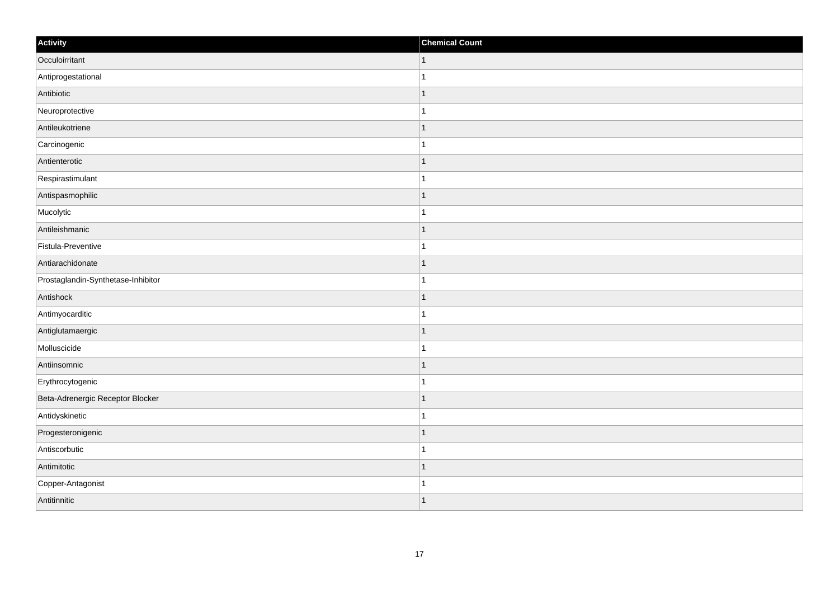| Activity                           | <b>Chemical Count</b>    |
|------------------------------------|--------------------------|
| Occuloirritant                     | $\vert$ 1                |
| Antiprogestational                 |                          |
| Antibiotic                         |                          |
| Neuroprotective                    |                          |
| Antileukotriene                    |                          |
| Carcinogenic                       |                          |
| Antienterotic                      | $\overline{\phantom{a}}$ |
| Respirastimulant                   | 1                        |
| Antispasmophilic                   |                          |
| Mucolytic                          |                          |
| Antileishmanic                     |                          |
| Fistula-Preventive                 |                          |
| Antiarachidonate                   | -1                       |
| Prostaglandin-Synthetase-Inhibitor | 1                        |
| Antishock                          |                          |
| Antimyocarditic                    |                          |
| Antiglutamaergic                   |                          |
| Molluscicide                       |                          |
| Antiinsomnic                       | 1                        |
| Erythrocytogenic                   |                          |
| Beta-Adrenergic Receptor Blocker   |                          |
| Antidyskinetic                     |                          |
| Progesteronigenic                  |                          |
| Antiscorbutic                      |                          |
| Antimitotic                        |                          |
| Copper-Antagonist                  |                          |
| Antitinnitic                       |                          |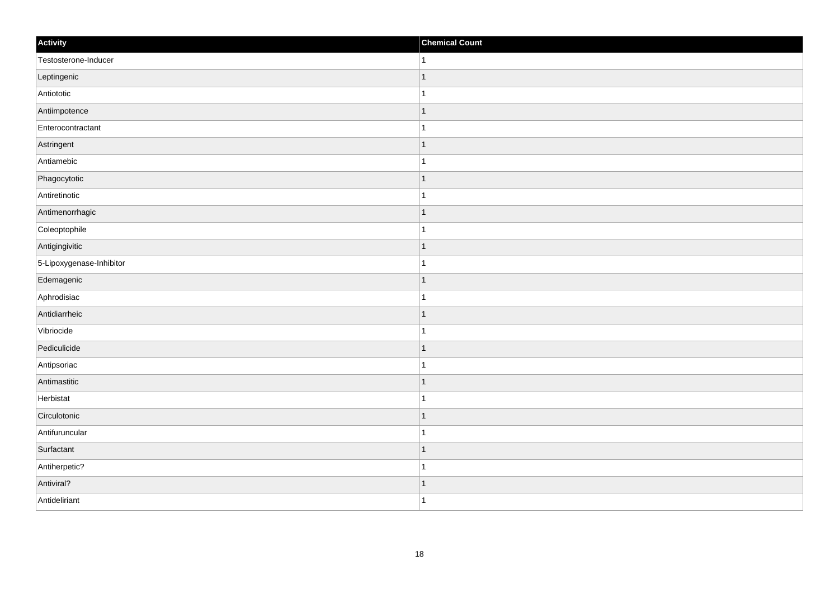| Activity                 | <b>Chemical Count</b> |
|--------------------------|-----------------------|
| Testosterone-Inducer     | $\vert$ 1             |
| Leptingenic              | $\mathbf{1}$          |
| Antiototic               |                       |
| Antiimpotence            | $\mathbf{1}$          |
| Enterocontractant        | $\mathbf{1}$          |
| Astringent               | -1                    |
| Antiamebic               | $\mathbf 1$           |
| Phagocytotic             | $\overline{1}$        |
| Antiretinotic            |                       |
| Antimenorrhagic          | $\vert$ 1             |
| Coleoptophile            | $\mathbf{1}$          |
| Antigingivitic           | $\mathbf 1$           |
| 5-Lipoxygenase-Inhibitor | $\mathbf{1}$          |
| Edemagenic               | -1                    |
| Aphrodisiac              | $\overline{1}$        |
| Antidiarrheic            | $\mathbf{1}$          |
| Vibriocide               | $\mathbf{1}$          |
| Pediculicide             | $\mathbf 1$           |
| Antipsoriac              | 1                     |
| Antimastitic             | 1                     |
| Herbistat                | $\mathbf{1}$          |
| Circulotonic             | $\mathbf{1}$          |
| Antifuruncular           | 1                     |
| Surfactant               | $\mathbf 1$           |
| Antiherpetic?            | $\mathbf{1}$          |
| Antiviral?               | $\vert$ 1             |
| Antideliriant            | $\overline{1}$        |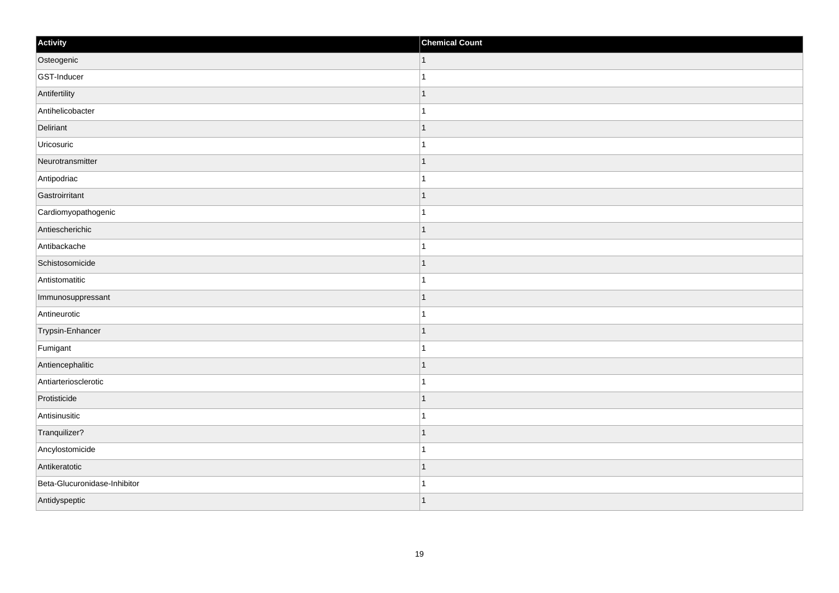| Activity                     | <b>Chemical Count</b> |
|------------------------------|-----------------------|
| Osteogenic                   | $\mathbf{1}$          |
| GST-Inducer                  | $\mathbf{1}$          |
| Antifertility                | $\mathbf{1}$          |
| Antihelicobacter             | $\mathbf{1}$          |
| Deliriant                    | $\overline{1}$        |
| Uricosuric                   | $\overline{1}$        |
| Neurotransmitter             | $\mathbf{1}$          |
| Antipodriac                  | $\mathbf{1}$          |
| Gastroirritant               | $\overline{1}$        |
| Cardiomyopathogenic          | $\mathbf{1}$          |
| Antiescherichic              | $\overline{1}$        |
| Antibackache                 | $\overline{1}$        |
| Schistosomicide              | $\mathbf{1}$          |
| Antistomatitic               | $\mathbf{1}$          |
| Immunosuppressant            | $\overline{1}$        |
| Antineurotic                 | $\mathbf{1}$          |
| Trypsin-Enhancer             | $\overline{1}$        |
| Fumigant                     | -1                    |
| Antiencephalitic             | $\mathbf{1}$          |
| Antiarteriosclerotic         | $\overline{1}$        |
| Protisticide                 | $\overline{1}$        |
| Antisinusitic                | $\mathbf{1}$          |
| Tranquilizer?                | $\overline{1}$        |
| Ancylostomicide              | $\overline{1}$        |
| Antikeratotic                | $\vert$ 1             |
| Beta-Glucuronidase-Inhibitor | $\mathbf{1}$          |
| Antidyspeptic                | $\vert$ 1             |